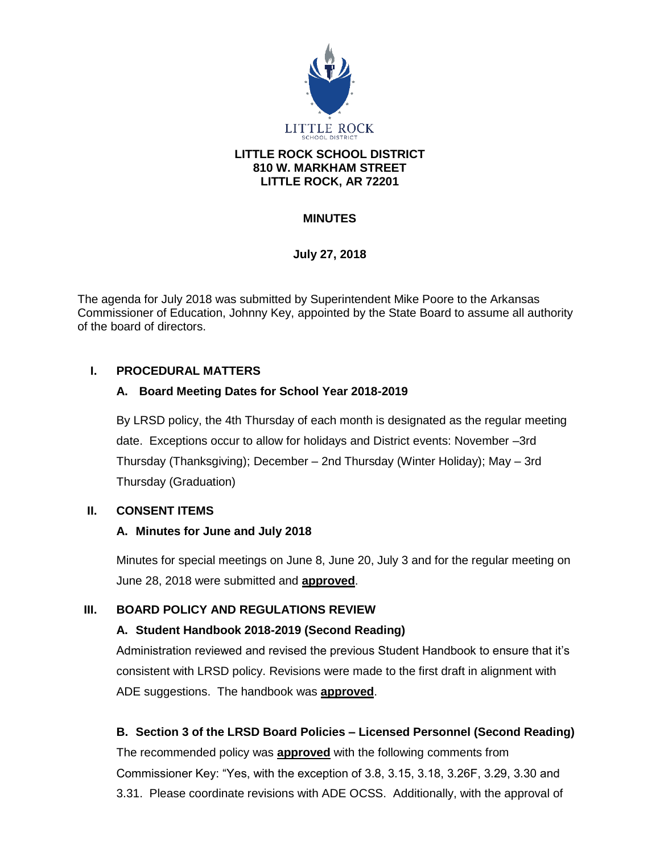

### **LITTLE ROCK SCHOOL DISTRICT 810 W. MARKHAM STREET LITTLE ROCK, AR 72201**

# **MINUTES**

# **July 27, 2018**

The agenda for July 2018 was submitted by Superintendent Mike Poore to the Arkansas Commissioner of Education, Johnny Key, appointed by the State Board to assume all authority of the board of directors.

## **I. PROCEDURAL MATTERS**

## **A. Board Meeting Dates for School Year 2018-2019**

By LRSD policy, the 4th Thursday of each month is designated as the regular meeting date. Exceptions occur to allow for holidays and District events: November –3rd Thursday (Thanksgiving); December – 2nd Thursday (Winter Holiday); May – 3rd Thursday (Graduation)

## **II. CONSENT ITEMS**

## **A. Minutes for June and July 2018**

Minutes for special meetings on June 8, June 20, July 3 and for the regular meeting on June 28, 2018 were submitted and **approved**.

## **III. BOARD POLICY AND REGULATIONS REVIEW**

## **A. Student Handbook 2018-2019 (Second Reading)**

Administration reviewed and revised the previous Student Handbook to ensure that it's consistent with LRSD policy. Revisions were made to the first draft in alignment with ADE suggestions. The handbook was **approved**.

## **B. Section 3 of the LRSD Board Policies – Licensed Personnel (Second Reading)**

The recommended policy was **approved** with the following comments from Commissioner Key: "Yes, with the exception of 3.8, 3.15, 3.18, 3.26F, 3.29, 3.30 and 3.31. Please coordinate revisions with ADE OCSS. Additionally, with the approval of